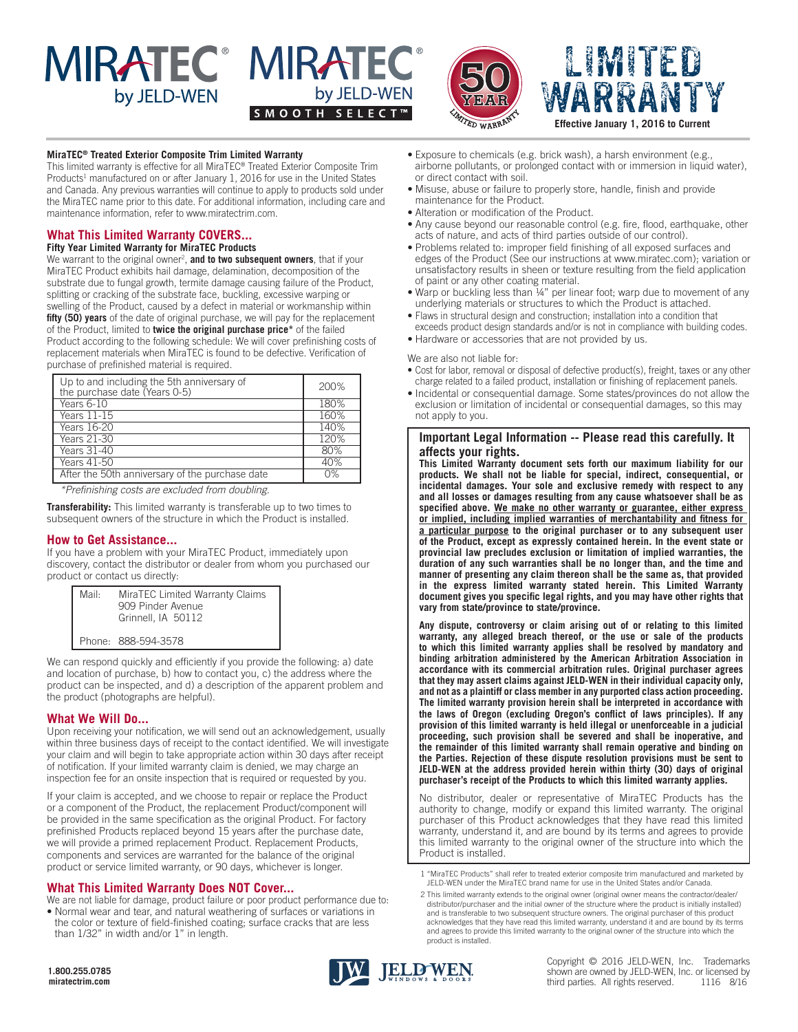# **MIRATEC<sup>®</sup> MIRATEC<sup>®</sup>** by JELD-WEN





# LIMITED WARRANTY **Effective January 1, 2016 to Current**

#### **MiraTEC® Treated Exterior Composite Trim Limited Warranty**

This limited warranty is effective for all MiraTEC® Treated Exterior Composite Trim Products<sup>1</sup> manufactured on or after January 1, 2016 for use in the United States and Canada. Any previous warranties will continue to apply to products sold under the MiraTEC name prior to this date. For additional information, including care and maintenance information, refer to www.miratectrim.com.

# **What This Limited Warranty COVERS...**

**Fifty Year Limited Warranty for MiraTEC Products**

We warrant to the original owner<sup>2</sup>, and to two subsequent owners, that if your MiraTEC Product exhibits hail damage, delamination, decomposition of the substrate due to fungal growth, termite damage causing failure of the Product, splitting or cracking of the substrate face, buckling, excessive warping or swelling of the Product, caused by a defect in material or workmanship within **fifty (50) years** of the date of original purchase, we will pay for the replacement of the Product, limited to **twice the original purchase price\*** of the failed Product according to the following schedule: We will cover prefinishing costs of replacement materials when MiraTEC is found to be defective. Verification of purchase of prefinished material is required.

| Up to and including the 5th anniversary of<br>the purchase date (Years 0-5) | 200% |
|-----------------------------------------------------------------------------|------|
| Years 6-10                                                                  | 180% |
| Years $11-15$                                                               | 160% |
| <b>Years</b> 16-20                                                          | 140% |
| Years 21-30                                                                 | 120% |
| Years $31-40$                                                               | 80%  |
| Years 41-50                                                                 | 40%  |
| After the 50th anniversary of the purchase date                             | 0%   |

*\*Prefinishing costs are excluded from doubling.*

**Transferability:** This limited warranty is transferable up to two times to subsequent owners of the structure in which the Product is installed.

# **How to Get Assistance...**

If you have a problem with your MiraTEC Product, immediately upon discovery, contact the distributor or dealer from whom you purchased our product or contact us directly:

| Mail· | MiraTEC Limited Warranty Claims<br>909 Pinder Avenue<br>Grinnell, IA 50112 |
|-------|----------------------------------------------------------------------------|
|       | Phone: 888-594-3578                                                        |

We can respond quickly and efficiently if you provide the following: a) date and location of purchase, b) how to contact you, c) the address where the product can be inspected, and d) a description of the apparent problem and the product (photographs are helpful).

# **What We Will Do...**

Upon receiving your notification, we will send out an acknowledgement, usually within three business days of receipt to the contact identified. We will investigate your claim and will begin to take appropriate action within 30 days after receipt of notification. If your limited warranty claim is denied, we may charge an inspection fee for an onsite inspection that is required or requested by you.

If your claim is accepted, and we choose to repair or replace the Product or a component of the Product, the replacement Product/component will be provided in the same specification as the original Product. For factory prefinished Products replaced beyond 15 years after the purchase date, we will provide a primed replacement Product. Replacement Products, components and services are warranted for the balance of the original product or service limited warranty, or 90 days, whichever is longer.

# **What This Limited Warranty Does NOT Cover...**

We are not liable for damage, product failure or poor product performance due to: • Normal wear and tear, and natural weathering of surfaces or variations in the color or texture of field-finished coating; surface cracks that are less than 1/32" in width and/or 1" in length.

- Exposure to chemicals (e.g. brick wash), a harsh environment (e.g., airborne pollutants, or prolonged contact with or immersion in liquid water), or direct contact with soil.
- Misuse, abuse or failure to properly store, handle, finish and provide maintenance for the Product.
- Alteration or modification of the Product.
- Any cause beyond our reasonable control (e.g. fire, flood, earthquake, other acts of nature, and acts of third parties outside of our control).
- Problems related to: improper field finishing of all exposed surfaces and edges of the Product (See our instructions at www.miratec.com); variation or unsatisfactory results in sheen or texture resulting from the field application of paint or any other coating material.
- Warp or buckling less than 1/4" per linear foot; warp due to movement of any underlying materials or structures to which the Product is attached.
- Flaws in structural design and construction; installation into a condition that exceeds product design standards and/or is not in compliance with building codes.
- Hardware or accessories that are not provided by us.

#### We are also not liable for:

- Cost for labor, removal or disposal of defective product(s), freight, taxes or any other charge related to a failed product, installation or finishing of replacement panels.
- Incidental or consequential damage. Some states/provinces do not allow the exclusion or limitation of incidental or consequential damages, so this may not apply to you.

# **Important Legal Information -- Please read this carefully. It affects your rights.**

**This Limited Warranty document sets forth our maximum liability for our products. We shall not be liable for special, indirect, consequential, or incidental damages. Your sole and exclusive remedy with respect to any and all losses or damages resulting from any cause whatsoever shall be as specified above. We make no other warranty or guarantee, either express or implied, including implied warranties of merchantability and fitness for a particular purpose to the original purchaser or to any subsequent user of the Product, except as expressly contained herein. In the event state or provincial law precludes exclusion or limitation of implied warranties, the duration of any such warranties shall be no longer than, and the time and manner of presenting any claim thereon shall be the same as, that provided in the express limited warranty stated herein. This Limited Warranty document gives you specific legal rights, and you may have other rights that vary from state/province to state/province.**

**Any dispute, controversy or claim arising out of or relating to this limited warranty, any alleged breach thereof, or the use or sale of the products to which this limited warranty applies shall be resolved by mandatory and binding arbitration administered by the American Arbitration Association in accordance with its commercial arbitration rules. Original purchaser agrees that they may assert claims against JELD-WEN in their individual capacity only, and not as a plaintiff or class member in any purported class action proceeding. The limited warranty provision herein shall be interpreted in accordance with the laws of Oregon (excluding Oregon's conflict of laws principles). If any provision of this limited warranty is held illegal or unenforceable in a judicial proceeding, such provision shall be severed and shall be inoperative, and the remainder of this limited warranty shall remain operative and binding on the Parties. Rejection of these dispute resolution provisions must be sent to JELD-WEN at the address provided herein within thirty (30) days of original purchaser's receipt of the Products to which this limited warranty applies.**

No distributor, dealer or representative of MiraTEC Products has the authority to change, modify or expand this limited warranty. The original purchaser of this Product acknowledges that they have read this limited warranty, understand it, and are bound by its terms and agrees to provide this limited warranty to the original owner of the structure into which the Product is installed.

1 "MiraTEC Products" shall refer to treated exterior composite trim manufactured and marketed by JELD-WEN under the MiraTEC brand name for use in the United States and/or Canada.

2 This limited warranty extends to the original owner (original owner means the contractor/dealer/ distributor/purchaser and the initial owner of the structure where the product is initially installed) and is transferable to two subsequent structure owners. The original purchaser of this product acknowledges that they have read this limited warranty, understand it and are bound by its terms and agrees to provide this limited warranty to the original owner of the structure into which the product is installed.



Copyright © 2016 JELD-WEN, Inc. Trademarks shown are owned by JELD-WEN, Inc. or licensed by third parties. All rights reserved. 1116 8/16